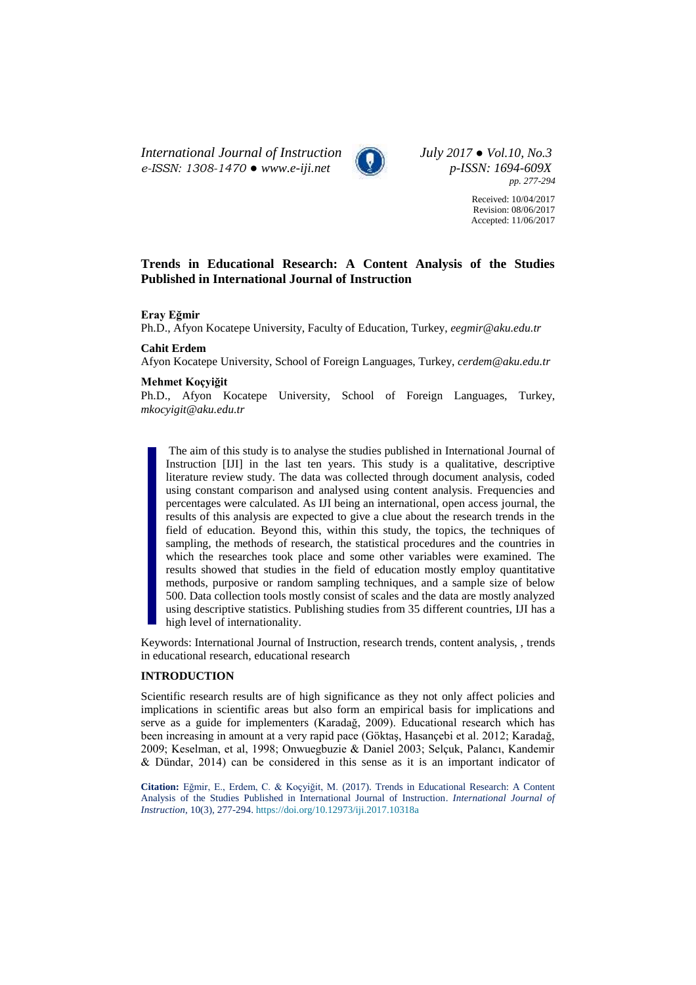*International Journal of Instruction July 2017 ● Vol.10, No.3 e-ISSN: 1308-1470 ● [www.e-iji.net](http://www.e-iji.net/) p-ISSN: 1694-609X*



*pp. 277-294*

Received: 10/04/2017 Revision: 08/06/2017 Accepted: 11/06/2017

# **Trends in Educational Research: A Content Analysis of the Studies Published in International Journal of Instruction**

**Eray Eğmir**

Ph.D., Afyon Kocatepe University, Faculty of Education, Turkey, *eegmir@aku.edu.tr*

### **Cahit Erdem**

Afyon Kocatepe University, School of Foreign Languages, Turkey, *cerdem@aku.edu.tr*

## **Mehmet Koçyiğit**

Ph.D., Afyon Kocatepe University, School of Foreign Languages, Turkey, *mkocyigit@aku.edu.tr*

The aim of this study is to analyse the studies published in International Journal of Instruction [IJI] in the last ten years. This study is a qualitative, descriptive literature review study. The data was collected through document analysis, coded using constant comparison and analysed using content analysis. Frequencies and percentages were calculated. As IJI being an international, open access journal, the results of this analysis are expected to give a clue about the research trends in the field of education. Beyond this, within this study, the topics, the techniques of sampling, the methods of research, the statistical procedures and the countries in which the researches took place and some other variables were examined. The results showed that studies in the field of education mostly employ quantitative methods, purposive or random sampling techniques, and a sample size of below 500. Data collection tools mostly consist of scales and the data are mostly analyzed using descriptive statistics. Publishing studies from 35 different countries, IJI has a high level of internationality.

Keywords: International Journal of Instruction, research trends, content analysis, , trends in educational research, educational research

# **INTRODUCTION**

Scientific research results are of high significance as they not only affect policies and implications in scientific areas but also form an empirical basis for implications and serve as a guide for implementers (Karadağ, 2009). Educational research which has been increasing in amount at a very rapid pace (Göktaş, Hasançebi et al. 2012; Karadağ, 2009; Keselman, et al, 1998; Onwuegbuzie & Daniel 2003; Selçuk, Palancı, Kandemir & Dündar, 2014) can be considered in this sense as it is an important indicator of

**Citation:** Eğmir, E., Erdem, C. & Koçyiğit, M. (2017). Trends in Educational Research: A Content Analysis of the Studies Published in International Journal of Instruction. *International Journal of Instruction*, 10(3), 277-294. <https://doi.org/10.12973/iji.2017.10318a>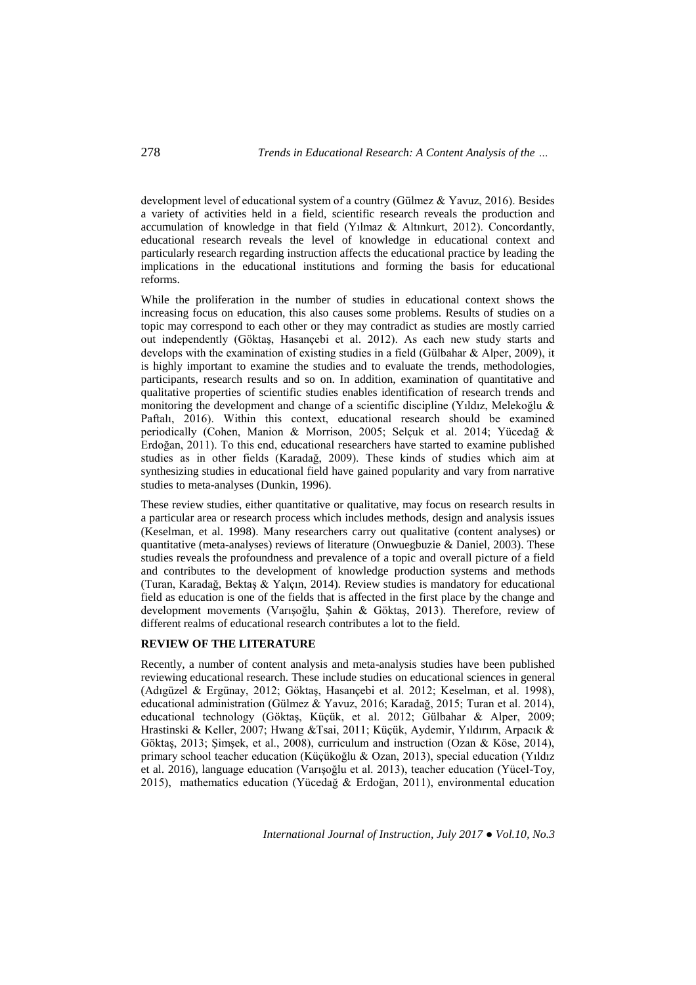development level of educational system of a country (Gülmez & Yavuz, 2016). Besides a variety of activities held in a field, scientific research reveals the production and accumulation of knowledge in that field (Yılmaz  $\&$  Altınkurt, 2012). Concordantly, educational research reveals the level of knowledge in educational context and particularly research regarding instruction affects the educational practice by leading the implications in the educational institutions and forming the basis for educational reforms.

While the proliferation in the number of studies in educational context shows the increasing focus on education, this also causes some problems. Results of studies on a topic may correspond to each other or they may contradict as studies are mostly carried out independently (Göktaş, Hasançebi et al. 2012). As each new study starts and develops with the examination of existing studies in a field (Gülbahar & Alper, 2009), it is highly important to examine the studies and to evaluate the trends, methodologies, participants, research results and so on. In addition, examination of quantitative and qualitative properties of scientific studies enables identification of research trends and monitoring the development and change of a scientific discipline (Yıldız, Melekoğlu & Paftalı, 2016). Within this context, educational research should be examined periodically (Cohen, Manion & Morrison, 2005; Selçuk et al. 2014; Yücedağ & Erdoğan, 2011). To this end, educational researchers have started to examine published studies as in other fields (Karadağ, 2009). These kinds of studies which aim at synthesizing studies in educational field have gained popularity and vary from narrative studies to meta-analyses (Dunkin, 1996).

These review studies, either quantitative or qualitative, may focus on research results in a particular area or research process which includes methods, design and analysis issues (Keselman, et al. 1998). Many researchers carry out qualitative (content analyses) or quantitative (meta-analyses) reviews of literature (Onwuegbuzie & Daniel, 2003). These studies reveals the profoundness and prevalence of a topic and overall picture of a field and contributes to the development of knowledge production systems and methods (Turan, Karadağ, Bektaş & Yalçın, 2014). Review studies is mandatory for educational field as education is one of the fields that is affected in the first place by the change and development movements (Varışoğlu, Şahin & Göktaş, 2013). Therefore, review of different realms of educational research contributes a lot to the field.

#### **REVIEW OF THE LITERATURE**

Recently, a number of content analysis and meta-analysis studies have been published reviewing educational research. These include studies on educational sciences in general (Adıgüzel & Ergünay, 2012; Göktaş, Hasançebi et al. 2012; Keselman, et al. 1998), educational administration (Gülmez & Yavuz, 2016; Karadağ, 2015; Turan et al. 2014), educational technology (Göktaş, Küçük, et al. 2012; Gülbahar & Alper, 2009; Hrastinski & Keller, 2007; Hwang &Tsai, 2011; Küçük, Aydemir, Yıldırım, Arpacık & Göktaş, 2013; Şimşek, et al., 2008), curriculum and instruction (Ozan & Köse, 2014), primary school teacher education (Küçükoğlu & Ozan, 2013), special education (Yıldız et al. 2016), language education (Varışoğlu et al. 2013), teacher education (Yücel-Toy, 2015), mathematics education (Yücedağ & Erdoğan, 2011), environmental education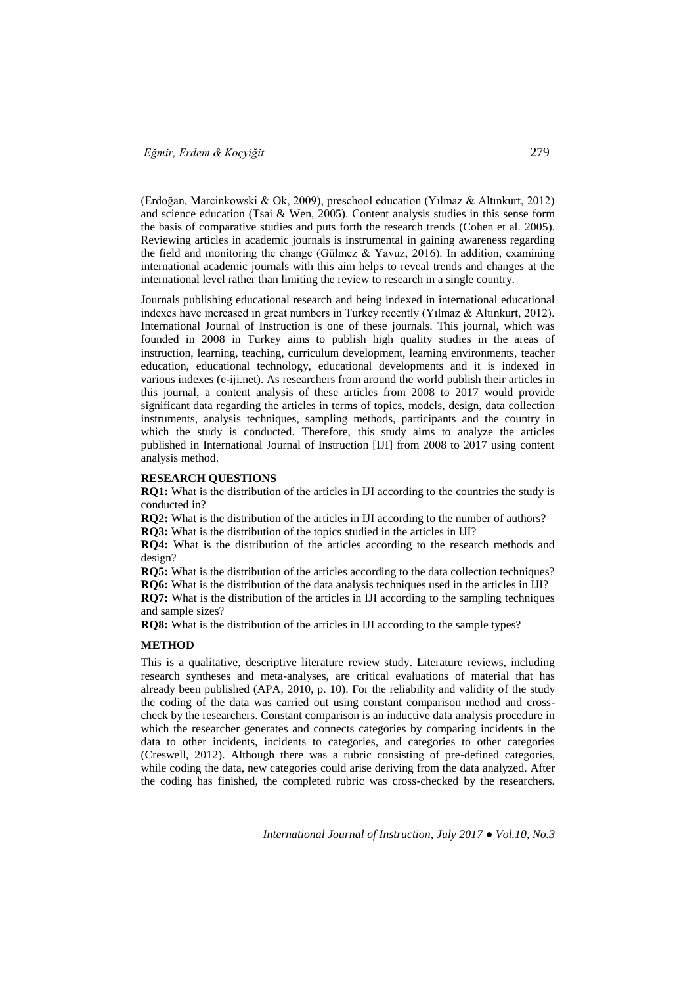(Erdoğan, Marcinkowski & Ok, 2009), preschool education (Yılmaz & Altınkurt, 2012) and science education (Tsai & Wen, 2005). Content analysis studies in this sense form the basis of comparative studies and puts forth the research trends (Cohen et al. 2005). Reviewing articles in academic journals is instrumental in gaining awareness regarding the field and monitoring the change (Gülmez  $&$  Yavuz, 2016). In addition, examining international academic journals with this aim helps to reveal trends and changes at the international level rather than limiting the review to research in a single country.

Journals publishing educational research and being indexed in international educational indexes have increased in great numbers in Turkey recently (Yılmaz & Altınkurt, 2012). International Journal of Instruction is one of these journals. This journal, which was founded in 2008 in Turkey aims to publish high quality studies in the areas of instruction, learning, teaching, curriculum development, learning environments, teacher education, educational technology, educational developments and it is indexed in various indexes (e-iji.net). As researchers from around the world publish their articles in this journal, a content analysis of these articles from 2008 to 2017 would provide significant data regarding the articles in terms of topics, models, design, data collection instruments, analysis techniques, sampling methods, participants and the country in which the study is conducted. Therefore, this study aims to analyze the articles published in International Journal of Instruction [IJI] from 2008 to 2017 using content analysis method.

### **RESEARCH QUESTIONS**

**RQ1:** What is the distribution of the articles in IJI according to the countries the study is conducted in?

**RQ2:** What is the distribution of the articles in IJI according to the number of authors? **RQ3:** What is the distribution of the topics studied in the articles in IJI?

**RQ4:** What is the distribution of the articles according to the research methods and design?

**RQ5:** What is the distribution of the articles according to the data collection techniques? **RQ6:** What is the distribution of the data analysis techniques used in the articles in IJI?

**RQ7:** What is the distribution of the articles in IJI according to the sampling techniques and sample sizes?

**RQ8:** What is the distribution of the articles in IJI according to the sample types?

## **METHOD**

This is a qualitative, descriptive literature review study. Literature reviews, including research syntheses and meta-analyses, are critical evaluations of material that has already been published (APA, 2010, p. 10). For the reliability and validity of the study the coding of the data was carried out using constant comparison method and crosscheck by the researchers. Constant comparison is an inductive data analysis procedure in which the researcher generates and connects categories by comparing incidents in the data to other incidents, incidents to categories, and categories to other categories (Creswell, 2012). Although there was a rubric consisting of pre-defined categories, while coding the data, new categories could arise deriving from the data analyzed. After the coding has finished, the completed rubric was cross-checked by the researchers.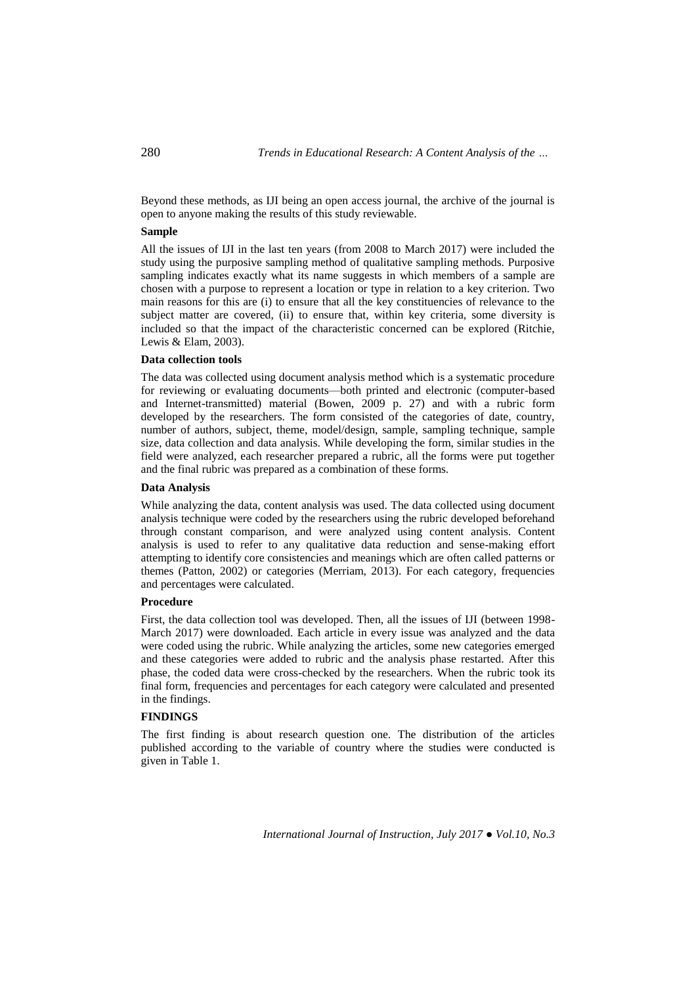Beyond these methods, as IJI being an open access journal, the archive of the journal is open to anyone making the results of this study reviewable.

## **Sample**

All the issues of IJI in the last ten years (from 2008 to March 2017) were included the study using the purposive sampling method of qualitative sampling methods. Purposive sampling indicates exactly what its name suggests in which members of a sample are chosen with a purpose to represent a location or type in relation to a key criterion. Two main reasons for this are (i) to ensure that all the key constituencies of relevance to the subject matter are covered, (ii) to ensure that, within key criteria, some diversity is included so that the impact of the characteristic concerned can be explored (Ritchie, Lewis & Elam, 2003).

### **Data collection tools**

The data was collected using document analysis method which is a systematic procedure for reviewing or evaluating documents—both printed and electronic (computer-based and Internet-transmitted) material (Bowen, 2009 p. 27) and with a rubric form developed by the researchers. The form consisted of the categories of date, country, number of authors, subject, theme, model/design, sample, sampling technique, sample size, data collection and data analysis. While developing the form, similar studies in the field were analyzed, each researcher prepared a rubric, all the forms were put together and the final rubric was prepared as a combination of these forms.

#### **Data Analysis**

While analyzing the data, content analysis was used. The data collected using document analysis technique were coded by the researchers using the rubric developed beforehand through constant comparison, and were analyzed using content analysis. Content analysis is used to refer to any qualitative data reduction and sense-making effort attempting to identify core consistencies and meanings which are often called patterns or themes (Patton, 2002) or categories (Merriam, 2013). For each category, frequencies and percentages were calculated.

## **Procedure**

First, the data collection tool was developed. Then, all the issues of IJI (between 1998- March 2017) were downloaded. Each article in every issue was analyzed and the data were coded using the rubric. While analyzing the articles, some new categories emerged and these categories were added to rubric and the analysis phase restarted. After this phase, the coded data were cross-checked by the researchers. When the rubric took its final form, frequencies and percentages for each category were calculated and presented in the findings.

# **FINDINGS**

The first finding is about research question one. The distribution of the articles published according to the variable of country where the studies were conducted is given in Table 1.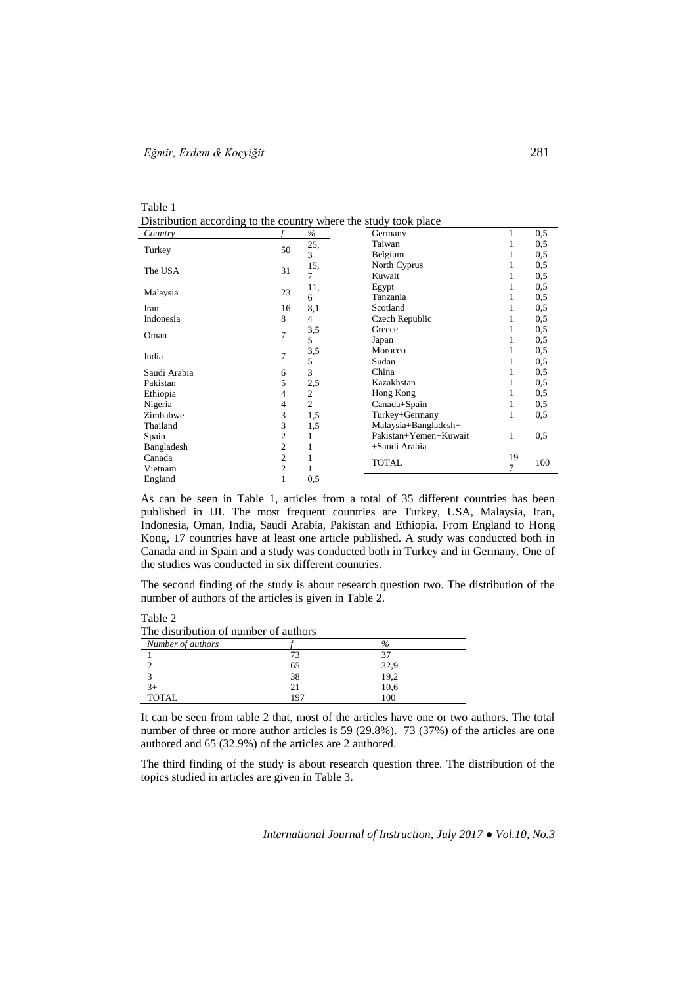| Table 1                                                          |  |
|------------------------------------------------------------------|--|
| Distribution according to the country where the study took place |  |

| Country      |                | $\%$           | Germany               | 1  | 0,5 |
|--------------|----------------|----------------|-----------------------|----|-----|
|              | 50             | 25,            | Taiwan                | 1  | 0,5 |
| Turkey       |                | 3              | Belgium               |    | 0,5 |
| The USA      | 31             | 15,            | North Cyprus          | 1  | 0,5 |
|              |                | 7              | Kuwait                | 1  | 0,5 |
| Malaysia     | 23             | 11,            | Egypt                 |    | 0,5 |
|              |                | 6              | Tanzania              |    | 0,5 |
| Iran         | 16             | 8,1            | Scotland              | 1  | 0,5 |
| Indonesia    | 8              | 4              | Czech Republic        | 1  | 0,5 |
|              | 7              | 3,5            | Greece                | 1  | 0,5 |
| Oman         |                | 5              | Japan                 | 1  | 0,5 |
| India        | $\tau$         | 3,5            | Morocco               | 1  | 0,5 |
|              |                | 5              | Sudan                 | 1  | 0,5 |
| Saudi Arabia | 6              | 3              | China                 |    | 0,5 |
| Pakistan     | 5              | 2,5            | Kazakhstan            | 1  | 0,5 |
| Ethiopia     | 4              | $\overline{c}$ | Hong Kong             | 1  | 0,5 |
| Nigeria      | 4              | $\overline{c}$ | Canada+Spain          | 1  | 0,5 |
| Zimbabwe     | 3              | 1,5            | Turkey+Germany        | 1  | 0,5 |
| Thailand     | 3              | 1,5            | Malaysia+Bangladesh+  |    |     |
| Spain        | $\overline{c}$ |                | Pakistan+Yemen+Kuwait | 1  | 0,5 |
| Bangladesh   | $\overline{c}$ |                | +Saudi Arabia         |    |     |
| Canada       | $\overline{c}$ |                | <b>TOTAL</b>          | 19 | 100 |
| Vietnam      | $\overline{2}$ |                |                       | 7  |     |
| England      |                | 0.5            |                       |    |     |

As can be seen in Table 1, articles from a total of 35 different countries has been published in IJI. The most frequent countries are Turkey, USA, Malaysia, Iran, Indonesia, Oman, India, Saudi Arabia, Pakistan and Ethiopia. From England to Hong Kong, 17 countries have at least one article published. A study was conducted both in Canada and in Spain and a study was conducted both in Turkey and in Germany. One of the studies was conducted in six different countries.

The second finding of the study is about research question two. The distribution of the number of authors of the articles is given in Table 2.

Table 2 The distribution of number of authors

| <u>The distribution of humber of authors</u> |     |      |  |  |
|----------------------------------------------|-----|------|--|--|
| Number of authors                            |     | $\%$ |  |  |
|                                              |     | 37   |  |  |
|                                              | 65  | 32,9 |  |  |
|                                              | 38  | 19,2 |  |  |
| $3+$                                         |     | 10,6 |  |  |
| <b>TOTAL</b>                                 | 197 | 100  |  |  |
|                                              |     |      |  |  |

It can be seen from table 2 that, most of the articles have one or two authors. The total number of three or more author articles is 59 (29.8%). 73 (37%) of the articles are one authored and 65 (32.9%) of the articles are 2 authored.

The third finding of the study is about research question three. The distribution of the topics studied in articles are given in Table 3.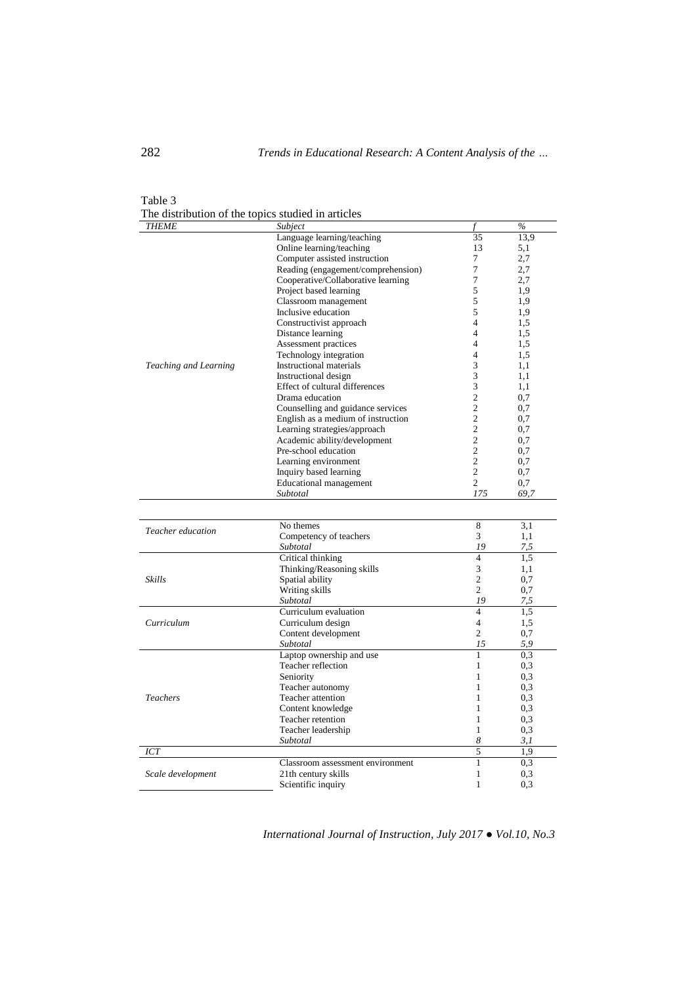Table 3 The distribution of the topics studied in articles

| <b>THEME</b>          | Subject                            |                | %    |
|-----------------------|------------------------------------|----------------|------|
|                       | Language learning/teaching         | 35             | 13,9 |
|                       | Online learning/teaching           | 13             | 5,1  |
|                       | Computer assisted instruction      | 7              | 2,7  |
|                       | Reading (engagement/comprehension) | $\overline{7}$ | 2,7  |
|                       | Cooperative/Collaborative learning | $\overline{7}$ | 2,7  |
|                       | Project based learning             | 5              | 1,9  |
|                       | Classroom management               | 5              | 1,9  |
|                       | Inclusive education                | 5              | 1,9  |
|                       | Constructivist approach            | $\overline{4}$ | 1,5  |
|                       |                                    | $\overline{4}$ |      |
|                       | Distance learning                  | $\overline{4}$ | 1,5  |
|                       | Assessment practices               |                | 1,5  |
|                       | Technology integration             | $\overline{4}$ | 1,5  |
| Teaching and Learning | <b>Instructional materials</b>     | 3              | 1,1  |
|                       | Instructional design               | 3              | 1,1  |
|                       | Effect of cultural differences     | 3              | 1,1  |
|                       | Drama education                    | $\overline{c}$ | 0,7  |
|                       | Counselling and guidance services  | $\mathfrak{2}$ | 0,7  |
|                       | English as a medium of instruction | $\overline{c}$ | 0,7  |
|                       | Learning strategies/approach       | $\overline{c}$ | 0.7  |
|                       | Academic ability/development       | $\overline{c}$ | 0,7  |
|                       | Pre-school education               | $\overline{c}$ | 0,7  |
|                       | Learning environment               | $\overline{c}$ | 0,7  |
|                       | Inquiry based learning             | $\overline{2}$ | 0,7  |
|                       | <b>Educational management</b>      | $\overline{c}$ | 0,7  |
|                       | Subtotal                           | 175            | 69,7 |
|                       |                                    |                |      |
|                       | No themes                          | 8              | 3,1  |
| Teacher education     | Competency of teachers             | 3              | 1,1  |
|                       | Subtotal                           | 19             | 7,5  |
|                       | Critical thinking                  | $\overline{4}$ | 1,5  |
|                       | Thinking/Reasoning skills          | 3              | 1.1  |
| <b>Skills</b>         | Spatial ability                    | $\overline{c}$ | 0.7  |
|                       | Writing skills                     | 2              | 0,7  |
|                       |                                    | 19             |      |
|                       | Subtotal                           |                | 7,5  |
|                       | Curriculum evaluation              | $\overline{4}$ | 1,5  |
| Curriculum            | Curriculum design                  | $\overline{4}$ | 1.5  |
|                       | Content development                | $\overline{c}$ | 0,7  |
|                       | Subtotal                           | 15             | 5,9  |
|                       | Laptop ownership and use           | 1              | 0,3  |
|                       | Teacher reflection                 | $\mathbf{1}$   | 0,3  |
|                       | Seniority                          | 1              | 0.3  |
|                       | Teacher autonomy                   | 1              | 0.3  |
| <b>Teachers</b>       | Teacher attention                  | 1              | 0.3  |
|                       | Content knowledge                  | 1              | 0,3  |
|                       | Teacher retention                  | 1              | 0,3  |
|                       | Teacher leadership                 | $\mathbf{1}$   | 0.3  |
|                       | Subtotal                           | 8              | 3,1  |
| ICT                   |                                    | 5              | 1,9  |
|                       | Classroom assessment environment   | $\mathbf{1}$   | 0,3  |
|                       |                                    |                | 0.3  |
| Scale development     | 21th century skills                | $\mathbf{1}$   |      |
|                       | Scientific inquiry                 | $\mathbf{1}$   | 0,3  |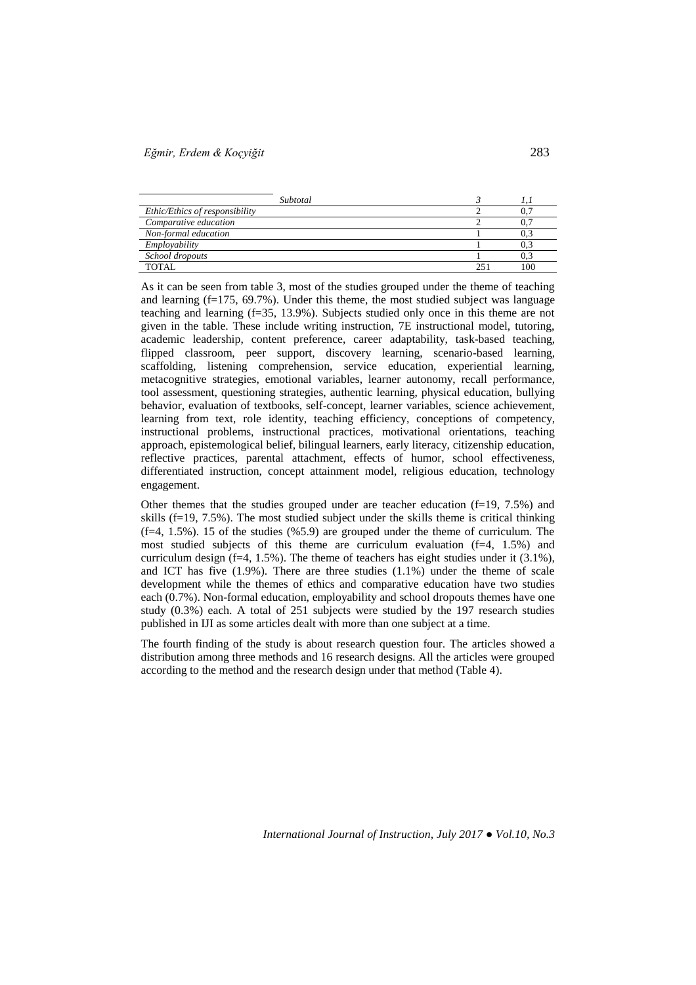| Subtotal                       |     |
|--------------------------------|-----|
| Ethic/Ethics of responsibility |     |
| Comparative education          |     |
| Non-formal education           | 0.3 |
| Employability                  | 0.3 |
| School dropouts                | 0.3 |
| <b>TOTAL</b>                   | 100 |

As it can be seen from table 3, most of the studies grouped under the theme of teaching and learning  $(f=175, 69.7\%)$ . Under this theme, the most studied subject was language teaching and learning (f=35, 13.9%). Subjects studied only once in this theme are not given in the table. These include writing instruction, 7E instructional model, tutoring, academic leadership, content preference, career adaptability, task-based teaching, flipped classroom, peer support, discovery learning, scenario-based learning, scaffolding, listening comprehension, service education, experiential learning, metacognitive strategies, emotional variables, learner autonomy, recall performance, tool assessment, questioning strategies, authentic learning, physical education, bullying behavior, evaluation of textbooks, self-concept, learner variables, science achievement, learning from text, role identity, teaching efficiency, conceptions of competency, instructional problems, instructional practices, motivational orientations, teaching approach, epistemological belief, bilingual learners, early literacy, citizenship education, reflective practices, parental attachment, effects of humor, school effectiveness, differentiated instruction, concept attainment model, religious education, technology engagement.

Other themes that the studies grouped under are teacher education  $(f=19, 7.5%)$  and skills (f=19, 7.5%). The most studied subject under the skills theme is critical thinking (f=4, 1.5%). 15 of the studies (%5.9) are grouped under the theme of curriculum. The most studied subjects of this theme are curriculum evaluation (f=4, 1.5%) and curriculum design (f=4, 1.5%). The theme of teachers has eight studies under it  $(3.1\%)$ , and ICT has five  $(1.9\%)$ . There are three studies  $(1.1\%)$  under the theme of scale development while the themes of ethics and comparative education have two studies each (0.7%). Non-formal education, employability and school dropouts themes have one study (0.3%) each. A total of 251 subjects were studied by the 197 research studies published in IJI as some articles dealt with more than one subject at a time.

The fourth finding of the study is about research question four. The articles showed a distribution among three methods and 16 research designs. All the articles were grouped according to the method and the research design under that method (Table 4).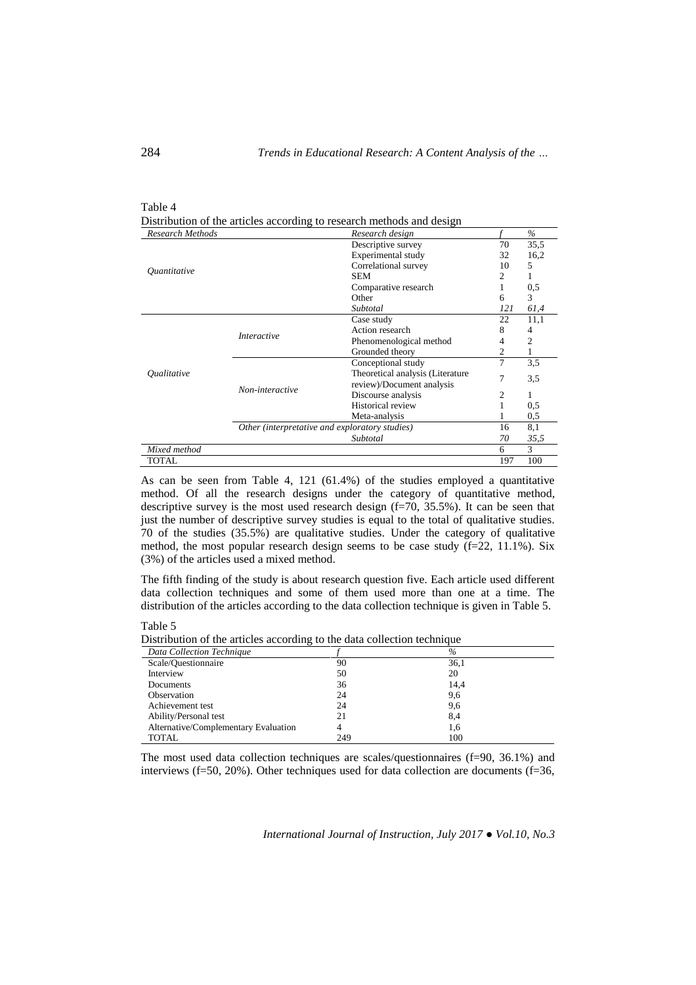| Research Methods           |                    | Research design                                |     | $\%$ |
|----------------------------|--------------------|------------------------------------------------|-----|------|
|                            |                    | Descriptive survey                             | 70  | 35,5 |
|                            |                    | Experimental study                             | 32  | 16,2 |
|                            |                    | Correlational survey                           | 10  | 5    |
| <i><u>Ouantitative</u></i> |                    | <b>SEM</b>                                     | 2   |      |
|                            |                    | Comparative research                           |     | 0,5  |
|                            |                    | Other                                          | 6   | 3    |
|                            |                    | Subtotal                                       | 121 | 61,4 |
|                            |                    | Case study                                     | 22  | 11,1 |
|                            | <i>Interactive</i> | Action research                                | 8   |      |
|                            |                    | Phenomenological method                        | 4   | 2    |
|                            |                    | Grounded theory                                | 2   |      |
|                            |                    | Conceptional study                             | 7   | 3,5  |
| <i>Oualitative</i>         |                    | Theoretical analysis (Literature               | 7   | 3,5  |
|                            | Non-interactive    | review)/Document analysis                      |     |      |
|                            |                    | Discourse analysis                             | 2   |      |
|                            |                    | Historical review                              |     | 0,5  |
|                            |                    | Meta-analysis                                  |     | 0,5  |
|                            |                    | Other (interpretative and exploratory studies) | 16  | 8,1  |
|                            |                    | Subtotal                                       | 70  | 35,5 |
| Mixed method               |                    |                                                | 6   | 3    |
| TOTAL                      |                    |                                                | 197 | 100  |

Table 4 Distribution of the articles according to research methods and design

As can be seen from Table 4, 121 (61.4%) of the studies employed a quantitative method. Of all the research designs under the category of quantitative method, descriptive survey is the most used research design  $(f=70, 35.5%)$ . It can be seen that just the number of descriptive survey studies is equal to the total of qualitative studies. 70 of the studies (35.5%) are qualitative studies. Under the category of qualitative method, the most popular research design seems to be case study (f=22, 11.1%). Six (3%) of the articles used a mixed method.

The fifth finding of the study is about research question five. Each article used different data collection techniques and some of them used more than one at a time. The distribution of the articles according to the data collection technique is given in Table 5.

Table 5

Distribution of the articles according to the data collection technique

| Data Collection Technique            |     | $\%$ |
|--------------------------------------|-----|------|
| Scale/Questionnaire                  | 90  | 36,1 |
| Interview                            | 50  | 20   |
| Documents                            | 36  | 14,4 |
| Observation                          | 24  | 9,6  |
| Achievement test                     | 24  | 9,6  |
| Ability/Personal test                | 21  | 8,4  |
| Alternative/Complementary Evaluation | 4   | 1,6  |
| <b>TOTAL</b>                         | 249 | 100  |
|                                      |     |      |

The most used data collection techniques are scales/questionnaires (f=90, 36.1%) and interviews (f=50, 20%). Other techniques used for data collection are documents (f=36,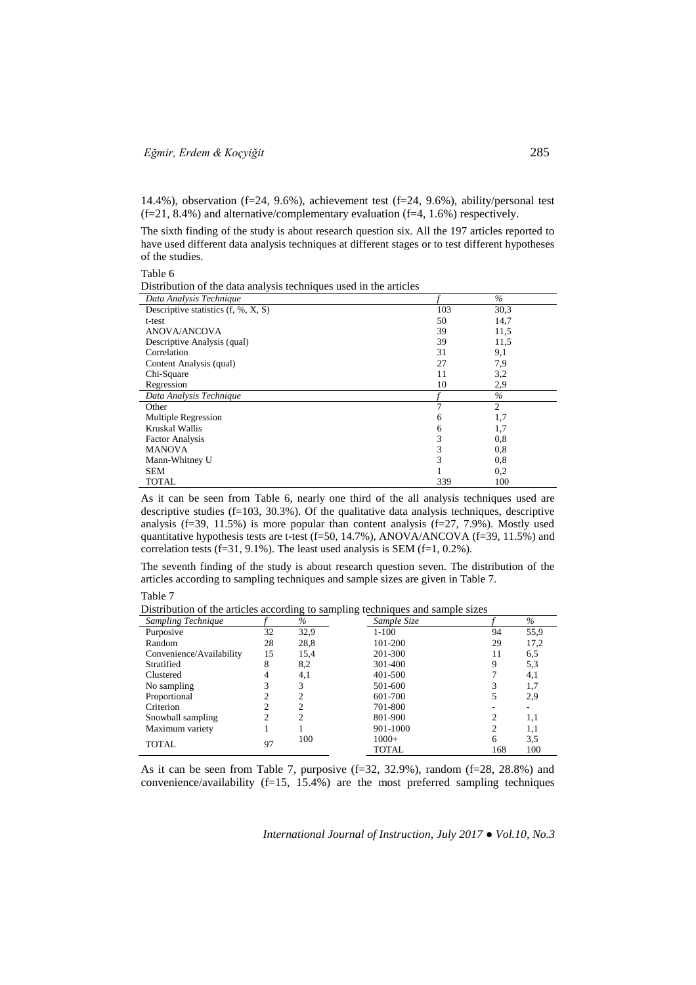14.4%), observation (f=24, 9.6%), achievement test (f=24, 9.6%), ability/personal test (f=21, 8.4%) and alternative/complementary evaluation (f=4, 1.6%) respectively.

The sixth finding of the study is about research question six. All the 197 articles reported to have used different data analysis techniques at different stages or to test different hypotheses of the studies.

Table 6

Distribution of the data analysis techniques used in the articles

| Data Analysis Technique                         |     | $\%$           |
|-------------------------------------------------|-----|----------------|
| Descriptive statistics $(f, \mathcal{X}, X, S)$ | 103 | 30,3           |
| t-test                                          | 50  | 14,7           |
| ANOVA/ANCOVA                                    | 39  | 11,5           |
| Descriptive Analysis (qual)                     | 39  | 11,5           |
| Correlation                                     | 31  | 9,1            |
| Content Analysis (qual)                         | 27  | 7,9            |
| Chi-Square                                      | 11  | 3,2            |
| Regression                                      | 10  | 2,9            |
| Data Analysis Technique                         |     | $\%$           |
| Other                                           | 7   | $\overline{c}$ |
| Multiple Regression                             | 6   | 1,7            |
| <b>Kruskal Wallis</b>                           | 6   | 1,7            |
| <b>Factor Analysis</b>                          | 3   | 0,8            |
| <b>MANOVA</b>                                   | 3   | 0,8            |
| Mann-Whitney U                                  | 3   | 0,8            |
| <b>SEM</b>                                      |     | 0,2            |
| <b>TOTAL</b>                                    | 339 | 100            |

As it can be seen from Table 6, nearly one third of the all analysis techniques used are descriptive studies (f=103, 30.3%). Of the qualitative data analysis techniques, descriptive analysis (f=39, 11.5%) is more popular than content analysis (f=27, 7.9%). Mostly used quantitative hypothesis tests are t-test (f=50, 14.7%), ANOVA/ANCOVA (f=39, 11.5%) and correlation tests (f=31, 9.1%). The least used analysis is SEM (f=1, 0.2%).

The seventh finding of the study is about research question seven. The distribution of the articles according to sampling techniques and sample sizes are given in Table 7.

Table 7

Distribution of the articles according to sampling techniques and sample sizes

|                           |    | c    | c            |     |      |
|---------------------------|----|------|--------------|-----|------|
| <b>Sampling Technique</b> |    | $\%$ | Sample Size  |     | $\%$ |
| Purposive                 | 32 | 32,9 | $1 - 100$    | 94  | 55,9 |
| Random                    | 28 | 28.8 | 101-200      | 29  | 17,2 |
| Convenience/Availability  | 15 | 15,4 | 201-300      | 11  | 6,5  |
| Stratified                | 8  | 8,2  | 301-400      |     | 5,3  |
| Clustered                 |    | 4,1  | 401-500      |     | 4,1  |
| No sampling               |    | 3    | 501-600      |     | 1,7  |
| Proportional              |    |      | 601-700      |     | 2,9  |
| Criterion                 |    |      | 701-800      |     |      |
| Snowball sampling         |    | ↑    | 801-900      | ↑   | 1,1  |
| Maximum variety           |    |      | 901-1000     | 2   | 1,1  |
| <b>TOTAL</b>              | 97 | 100  | $1000+$      | 6   | 3,5  |
|                           |    |      | <b>TOTAL</b> | 168 | 100  |

As it can be seen from Table 7, purposive (f=32, 32.9%), random (f=28, 28.8%) and convenience/availability (f=15, 15.4%) are the most preferred sampling techniques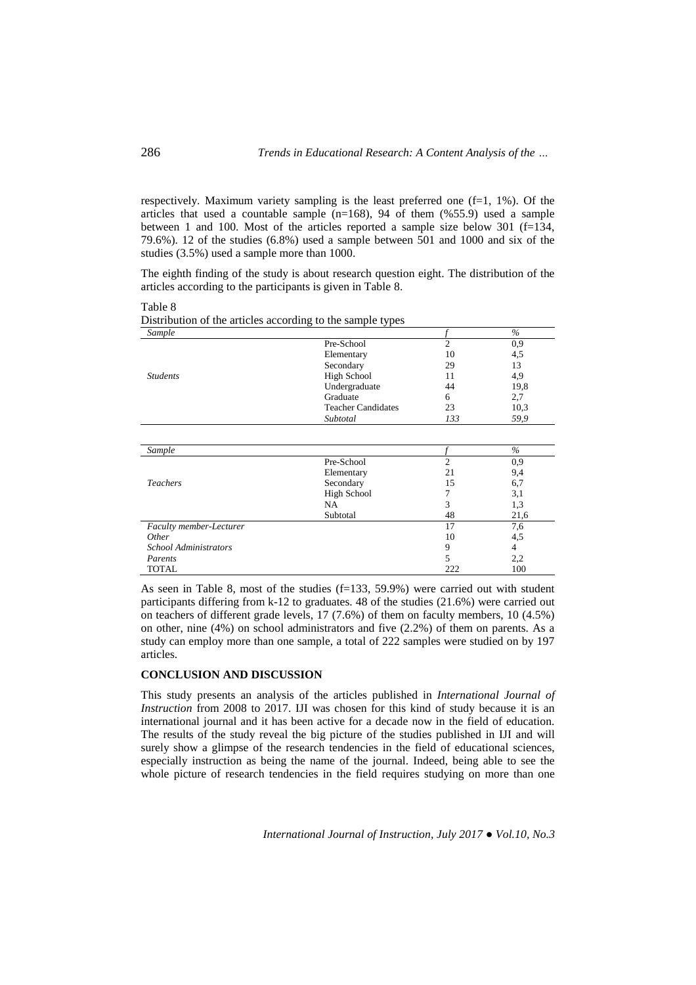respectively. Maximum variety sampling is the least preferred one  $(f=1, 1\%)$ . Of the articles that used a countable sample  $(n=168)$ , 94 of them  $(\frac{655.9}{})$  used a sample between 1 and 100. Most of the articles reported a sample size below 301 ( $f=134$ , 79.6%). 12 of the studies (6.8%) used a sample between 501 and 1000 and six of the studies (3.5%) used a sample more than 1000.

The eighth finding of the study is about research question eight. The distribution of the articles according to the participants is given in Table 8.

| Sample                       |                           |                | $\%$           |
|------------------------------|---------------------------|----------------|----------------|
|                              | Pre-School                | $\overline{2}$ | 0,9            |
|                              | Elementary                | 10             | 4,5            |
|                              | Secondary                 | 29             | 13             |
| <b>Students</b>              | <b>High School</b>        | 11             | 4,9            |
|                              | Undergraduate             | 44             | 19,8           |
|                              | Graduate                  | 6              | 2,7            |
|                              | <b>Teacher Candidates</b> | 23             | 10,3           |
|                              | Subtotal                  | 133            | 59,9           |
|                              |                           |                |                |
| Sample                       |                           |                | $\%$           |
|                              | Pre-School                | $\overline{c}$ | 0,9            |
|                              | Elementary                | 21             | 9,4            |
| <b>Teachers</b>              | Secondary                 | 15             | 6,7            |
|                              | High School               | 7              | 3,1            |
|                              | NA.                       | 3              | 1.3            |
|                              | Subtotal                  | 48             | 21,6           |
| Faculty member-Lecturer      |                           | 17             | 7,6            |
| <i>Other</i>                 |                           | 10             | 4,5            |
| <b>School Administrators</b> |                           | 9              | $\overline{4}$ |
| Parents                      |                           | 5              | 2,2            |
| <b>TOTAL</b>                 |                           | 222            | 100            |

Table 8 Distribution of the articles according to the sample types

As seen in Table 8, most of the studies  $(f=133, 59.9%)$  were carried out with student participants differing from k-12 to graduates. 48 of the studies (21.6%) were carried out on teachers of different grade levels, 17 (7.6%) of them on faculty members, 10 (4.5%) on other, nine (4%) on school administrators and five (2.2%) of them on parents. As a study can employ more than one sample, a total of 222 samples were studied on by 197 articles.

### **CONCLUSION AND DISCUSSION**

This study presents an analysis of the articles published in *International Journal of Instruction* from 2008 to 2017. IJI was chosen for this kind of study because it is an international journal and it has been active for a decade now in the field of education. The results of the study reveal the big picture of the studies published in IJI and will surely show a glimpse of the research tendencies in the field of educational sciences, especially instruction as being the name of the journal. Indeed, being able to see the whole picture of research tendencies in the field requires studying on more than one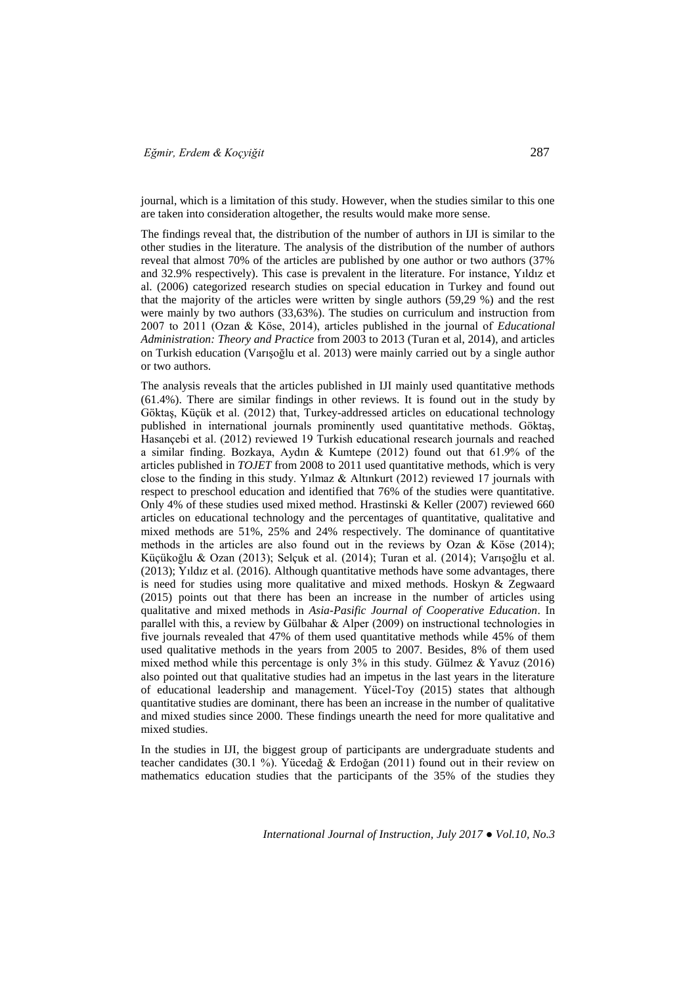journal, which is a limitation of this study. However, when the studies similar to this one are taken into consideration altogether, the results would make more sense.

The findings reveal that, the distribution of the number of authors in IJI is similar to the other studies in the literature. The analysis of the distribution of the number of authors reveal that almost 70% of the articles are published by one author or two authors (37% and 32.9% respectively). This case is prevalent in the literature. For instance, Yıldız et al. (2006) categorized research studies on special education in Turkey and found out that the majority of the articles were written by single authors (59,29 %) and the rest were mainly by two authors (33,63%). The studies on curriculum and instruction from 2007 to 2011 (Ozan & Köse, 2014), articles published in the journal of *Educational Administration: Theory and Practice* from 2003 to 2013 (Turan et al, 2014), and articles on Turkish education (Varışoğlu et al. 2013) were mainly carried out by a single author or two authors.

The analysis reveals that the articles published in IJI mainly used quantitative methods (61.4%). There are similar findings in other reviews. It is found out in the study by Göktaş, Küçük et al. (2012) that, Turkey-addressed articles on educational technology published in international journals prominently used quantitative methods. Göktaş, Hasançebi et al. (2012) reviewed 19 Turkish educational research journals and reached a similar finding. Bozkaya, Aydın & Kumtepe (2012) found out that 61.9% of the articles published in *TOJET* from 2008 to 2011 used quantitative methods, which is very close to the finding in this study. Yılmaz & Altınkurt (2012) reviewed 17 journals with respect to preschool education and identified that 76% of the studies were quantitative. Only 4% of these studies used mixed method. Hrastinski & Keller (2007) reviewed 660 articles on educational technology and the percentages of quantitative, qualitative and mixed methods are 51%, 25% and 24% respectively. The dominance of quantitative methods in the articles are also found out in the reviews by Ozan  $\&$  Köse (2014); Küçükoğlu & Ozan (2013); Selçuk et al. (2014); Turan et al. (2014); Varışoğlu et al. (2013); Yıldız et al. (2016). Although quantitative methods have some advantages, there is need for studies using more qualitative and mixed methods. Hoskyn & Zegwaard (2015) points out that there has been an increase in the number of articles using qualitative and mixed methods in *Asia-Pasific Journal of Cooperative Education*. In parallel with this, a review by Gülbahar & Alper (2009) on instructional technologies in five journals revealed that 47% of them used quantitative methods while 45% of them used qualitative methods in the years from 2005 to 2007. Besides, 8% of them used mixed method while this percentage is only 3% in this study. Gülmez & Yavuz (2016) also pointed out that qualitative studies had an impetus in the last years in the literature of educational leadership and management. Yücel-Toy (2015) states that although quantitative studies are dominant, there has been an increase in the number of qualitative and mixed studies since 2000. These findings unearth the need for more qualitative and mixed studies.

In the studies in IJI, the biggest group of participants are undergraduate students and teacher candidates (30.1 %). Yücedağ & Erdoğan (2011) found out in their review on mathematics education studies that the participants of the 35% of the studies they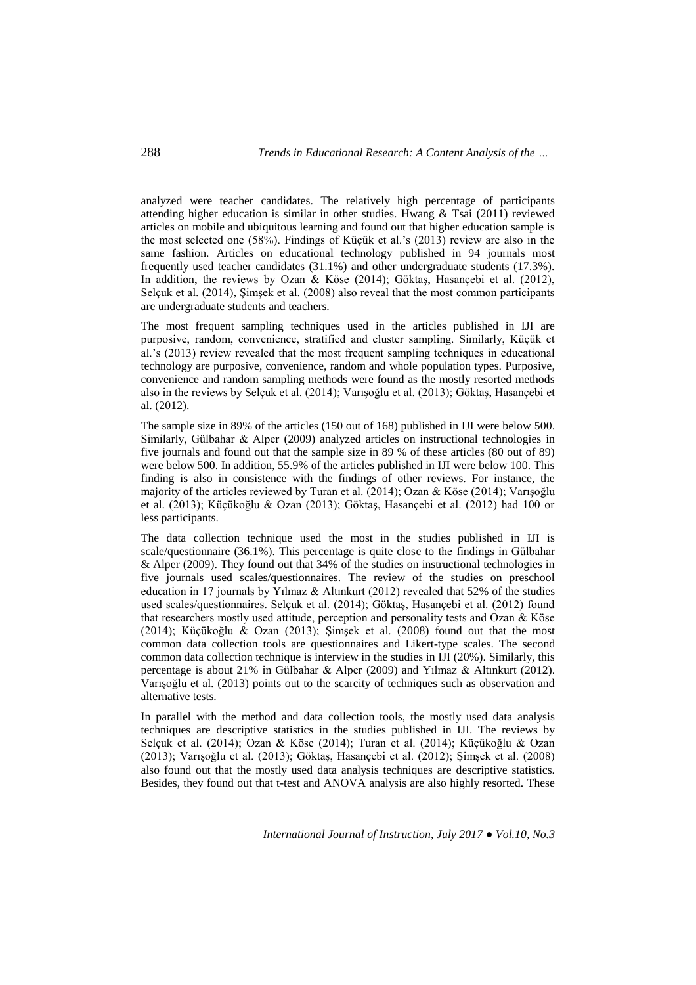analyzed were teacher candidates. The relatively high percentage of participants attending higher education is similar in other studies. Hwang & Tsai (2011) reviewed articles on mobile and ubiquitous learning and found out that higher education sample is the most selected one (58%). Findings of Küçük et al.'s (2013) review are also in the same fashion. Articles on educational technology published in 94 journals most frequently used teacher candidates (31.1%) and other undergraduate students (17.3%). In addition, the reviews by Ozan & Köse (2014); Göktas, Hasancebi et al. (2012), Selçuk et al. (2014), Şimşek et al. (2008) also reveal that the most common participants are undergraduate students and teachers.

The most frequent sampling techniques used in the articles published in IJI are purposive, random, convenience, stratified and cluster sampling. Similarly, Küçük et al.'s (2013) review revealed that the most frequent sampling techniques in educational technology are purposive, convenience, random and whole population types. Purposive, convenience and random sampling methods were found as the mostly resorted methods also in the reviews by Selçuk et al. (2014); Varışoğlu et al. (2013); Göktaş, Hasançebi et al. (2012).

The sample size in 89% of the articles (150 out of 168) published in IJI were below 500. Similarly, Gülbahar & Alper (2009) analyzed articles on instructional technologies in five journals and found out that the sample size in 89 % of these articles (80 out of 89) were below 500. In addition, 55.9% of the articles published in IJI were below 100. This finding is also in consistence with the findings of other reviews. For instance, the majority of the articles reviewed by Turan et al. (2014); Ozan & Köse (2014); Varışoğlu et al. (2013); Küçükoğlu & Ozan (2013); Göktaş, Hasançebi et al. (2012) had 100 or less participants.

The data collection technique used the most in the studies published in IJI is scale/questionnaire (36.1%). This percentage is quite close to the findings in Gülbahar & Alper (2009). They found out that 34% of the studies on instructional technologies in five journals used scales/questionnaires. The review of the studies on preschool education in 17 journals by Yılmaz & Altınkurt (2012) revealed that 52% of the studies used scales/questionnaires. Selçuk et al. (2014); Göktaş, Hasançebi et al. (2012) found that researchers mostly used attitude, perception and personality tests and Ozan & Köse (2014); Küçükoğlu & Ozan (2013); Şimşek et al. (2008) found out that the most common data collection tools are questionnaires and Likert-type scales. The second common data collection technique is interview in the studies in IJI (20%). Similarly, this percentage is about 21% in Gülbahar & Alper (2009) and Yılmaz & Altınkurt (2012). Varışoğlu et al. (2013) points out to the scarcity of techniques such as observation and alternative tests.

In parallel with the method and data collection tools, the mostly used data analysis techniques are descriptive statistics in the studies published in IJI. The reviews by Selçuk et al. (2014); Ozan & Köse (2014); Turan et al. (2014); Küçükoğlu & Ozan (2013); Varışoğlu et al. (2013); Göktaş, Hasançebi et al. (2012); Şimşek et al. (2008) also found out that the mostly used data analysis techniques are descriptive statistics. Besides, they found out that t-test and ANOVA analysis are also highly resorted. These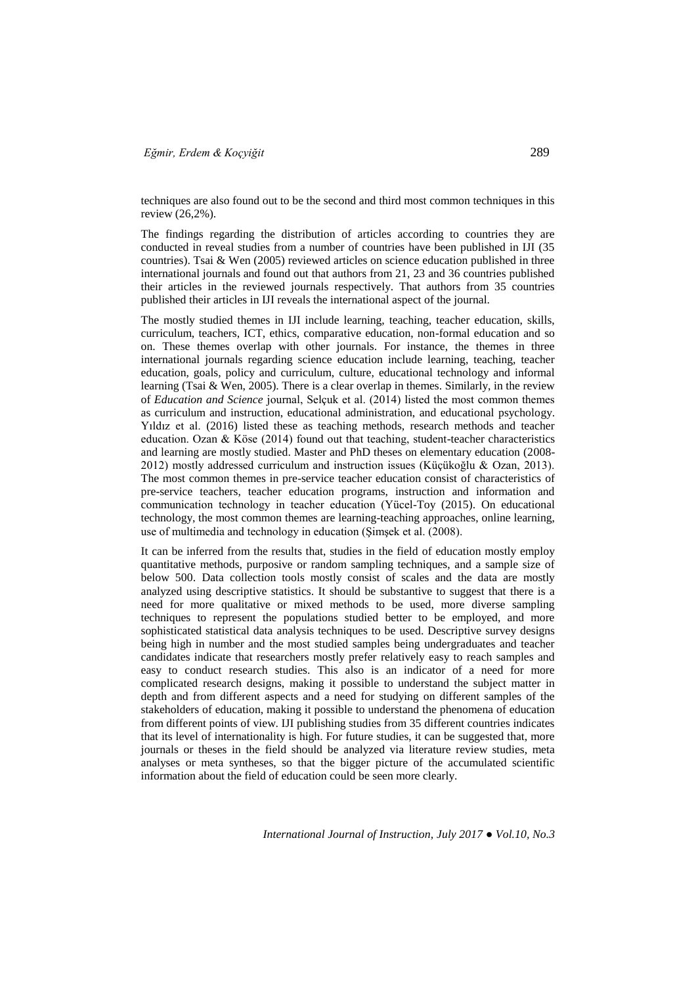techniques are also found out to be the second and third most common techniques in this review (26,2%).

The findings regarding the distribution of articles according to countries they are conducted in reveal studies from a number of countries have been published in IJI (35 countries). Tsai & Wen  $(2005)$  reviewed articles on science education published in three international journals and found out that authors from 21, 23 and 36 countries published their articles in the reviewed journals respectively. That authors from 35 countries published their articles in IJI reveals the international aspect of the journal.

The mostly studied themes in IJI include learning, teaching, teacher education, skills, curriculum, teachers, ICT, ethics, comparative education, non-formal education and so on. These themes overlap with other journals. For instance, the themes in three international journals regarding science education include learning, teaching, teacher education, goals, policy and curriculum, culture, educational technology and informal learning (Tsai & Wen, 2005). There is a clear overlap in themes. Similarly, in the review of *Education and Science* journal, Selçuk et al. (2014) listed the most common themes as curriculum and instruction, educational administration, and educational psychology. Yıldız et al. (2016) listed these as teaching methods, research methods and teacher education. Ozan & Köse (2014) found out that teaching, student-teacher characteristics and learning are mostly studied. Master and PhD theses on elementary education (2008- 2012) mostly addressed curriculum and instruction issues (Küçükoğlu & Ozan, 2013). The most common themes in pre-service teacher education consist of characteristics of pre-service teachers, teacher education programs, instruction and information and communication technology in teacher education (Yücel-Toy (2015). On educational technology, the most common themes are learning-teaching approaches, online learning, use of multimedia and technology in education (Şimşek et al. (2008).

It can be inferred from the results that, studies in the field of education mostly employ quantitative methods, purposive or random sampling techniques, and a sample size of below 500. Data collection tools mostly consist of scales and the data are mostly analyzed using descriptive statistics. It should be substantive to suggest that there is a need for more qualitative or mixed methods to be used, more diverse sampling techniques to represent the populations studied better to be employed, and more sophisticated statistical data analysis techniques to be used. Descriptive survey designs being high in number and the most studied samples being undergraduates and teacher candidates indicate that researchers mostly prefer relatively easy to reach samples and easy to conduct research studies. This also is an indicator of a need for more complicated research designs, making it possible to understand the subject matter in depth and from different aspects and a need for studying on different samples of the stakeholders of education, making it possible to understand the phenomena of education from different points of view. IJI publishing studies from 35 different countries indicates that its level of internationality is high. For future studies, it can be suggested that, more journals or theses in the field should be analyzed via literature review studies, meta analyses or meta syntheses, so that the bigger picture of the accumulated scientific information about the field of education could be seen more clearly.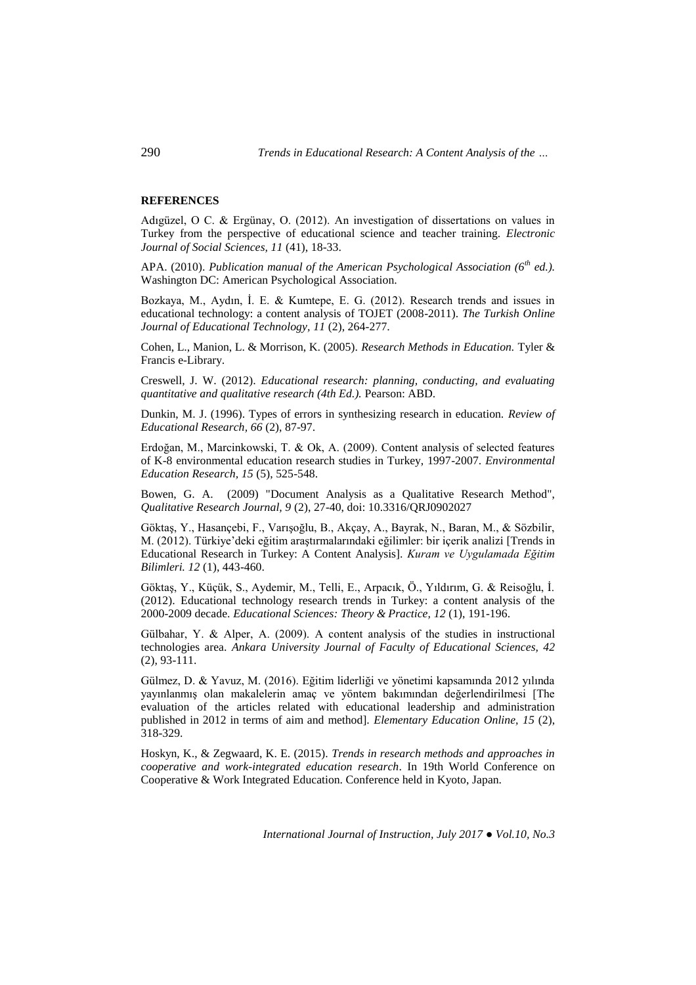### **REFERENCES**

Adıgüzel, O C. & Ergünay, O. (2012). An investigation of dissertations on values in Turkey from the perspective of educational science and teacher training. *Electronic Journal of Social Sciences, 11* (41), 18-33.

APA. (2010). *Publication manual of the American Psychological Association (6th ed.).*  Washington DC: American Psychological Association.

Bozkaya, M., Aydın, İ. E. & Kumtepe, E. G. (2012). Research trends and issues in educational technology: a content analysis of TOJET (2008-2011). *The Turkish Online Journal of Educational Technology, 11* (2), 264-277.

Cohen, L., Manion, L. & Morrison, K. (2005). *Research Methods in Education.* Tyler & Francis e-Library.

Creswell, J. W. (2012). *Educational research: planning, conducting, and evaluating quantitative and qualitative research (4th Ed.).* Pearson: ABD.

Dunkin, M. J. (1996). Types of errors in synthesizing research in education. *Review of Educational Research, 66* (2), 87-97.

Erdoğan, M., Marcinkowski, T. & Ok, A. (2009). Content analysis of selected features of K-8 environmental education research studies in Turkey, 1997-2007. *Environmental Education Research, 15* (5), 525-548.

Bowen, G. A. (2009) "Document Analysis as a Qualitative Research Method", *Qualitative Research Journal, 9* (2), 27-40, doi: 10.3316/QRJ0902027

Göktaş, Y., Hasançebi, F., Varışoğlu, B., Akçay, A., Bayrak, N., Baran, M., & Sözbilir, M. (2012). Türkiye'deki eğitim araştırmalarındaki eğilimler: bir içerik analizi [Trends in Educational Research in Turkey: A Content Analysis]. *Kuram ve Uygulamada Eğitim Bilimleri. 12* (1), 443-460.

Göktaş, Y., Küçük, S., Aydemir, M., Telli, E., Arpacık, Ö., Yıldırım, G. & Reisoğlu, İ. (2012). Educational technology research trends in Turkey: a content analysis of the 2000-2009 decade. *Educational Sciences: Theory & Practice, 12* (1), 191-196.

Gülbahar, Y. & Alper, A. (2009). A content analysis of the studies in instructional technologies area. *Ankara University Journal of Faculty of Educational Sciences, 42* (2), 93-111.

Gülmez, D. & Yavuz, M. (2016). Eğitim liderliği ve yönetimi kapsamında 2012 yılında yayınlanmış olan makalelerin amaç ve yöntem bakımından değerlendirilmesi [The evaluation of the articles related with educational leadership and administration published in 2012 in terms of aim and method]. *Elementary Education Online, 15* (2), 318-329.

Hoskyn, K., & Zegwaard, K. E. (2015). *Trends in research methods and approaches in cooperative and work-integrated education research*. In 19th World Conference on Cooperative & Work Integrated Education. Conference held in Kyoto, Japan.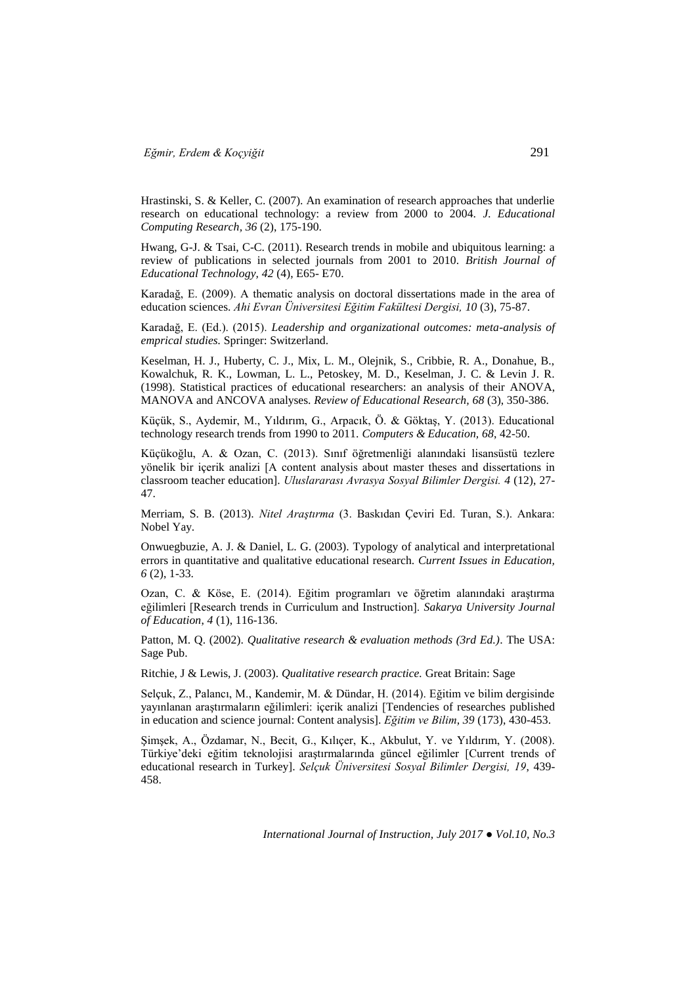Hrastinski, S. & Keller, C. (2007). An examination of research approaches that underlie research on educational technology: a review from 2000 to 2004. *J. Educational Computing Research, 36* (2), 175-190.

Hwang, G-J. & Tsai, C-C. (2011). Research trends in mobile and ubiquitous learning: a review of publications in selected journals from 2001 to 2010. *British Journal of Educational Technology, 42* (4), E65- E70.

Karadağ, E. (2009). A thematic analysis on doctoral dissertations made in the area of education sciences. *Ahi Evran Üniversitesi Eğitim Fakültesi Dergisi, 10* (3), 75-87.

Karadağ, E. (Ed.). (2015). *Leadership and organizational outcomes: meta-analysis of emprical studies.* Springer: Switzerland.

Keselman, H. J., Huberty, C. J., Mix, L. M., Olejnik, S., Cribbie, R. A., Donahue, B., Kowalchuk, R. K., Lowman, L. L., Petoskey, M. D., Keselman, J. C. & Levin J. R. (1998). Statistical practices of educational researchers: an analysis of their ANOVA, MANOVA and ANCOVA analyses. *Review of Educational Research, 68* (3), 350-386.

Küçük, S., Aydemir, M., Yıldırım, G., Arpacık, Ö. & Göktaş, Y. (2013). Educational technology research trends from 1990 to 2011. *Computers & Education, 68*, 42-50.

Küçükoğlu, A. & Ozan, C. (2013). Sınıf öğretmenliği alanındaki lisansüstü tezlere yönelik bir içerik analizi [A content analysis about master theses and dissertations in classroom teacher education]. *Uluslararası Avrasya Sosyal Bilimler Dergisi. 4* (12), 27- 47.

Merriam, S. B. (2013). *Nitel Araştırma* (3. Baskıdan Çeviri Ed. Turan, S.). Ankara: Nobel Yay.

Onwuegbuzie, A. J. & Daniel, L. G. (2003). Typology of analytical and interpretational errors in quantitative and qualitative educational research. *Current Issues in Education, 6* (2), 1-33.

Ozan, C. & Köse, E. (2014). Eğitim programları ve öğretim alanındaki araştırma eğilimleri [Research trends in Curriculum and Instruction]. *Sakarya University Journal of Education*, *4* (1), 116-136.

Patton, M. Q. (2002). *Qualitative research & evaluation methods (3rd Ed.)*. The USA: Sage Pub.

Ritchie, J & Lewis, J. (2003). *Qualitative research practice.* Great Britain: Sage

Selçuk, Z., Palancı, M., Kandemir, M. & Dündar, H. (2014). Eğitim ve bilim dergisinde yayınlanan araştırmaların eğilimleri: içerik analizi [Tendencies of researches published in education and science journal: Content analysis]. *Eğitim ve Bilim, 39* (173), 430-453.

Şimşek, A., Özdamar, N., Becit, G., Kılıçer, K., Akbulut, Y. ve Yıldırım, Y. (2008). Türkiye'deki eğitim teknolojisi araştırmalarında güncel eğilimler [Current trends of educational research in Turkey]. *Selçuk Üniversitesi Sosyal Bilimler Dergisi, 19*, 439- 458.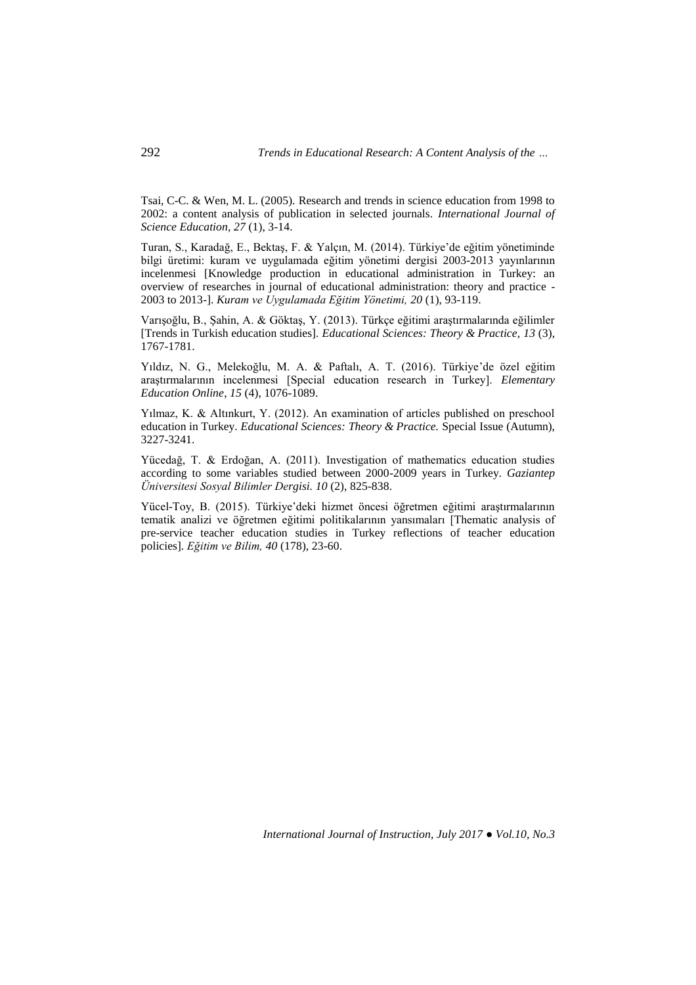Tsai, C-C. & Wen, M. L. (2005). Research and trends in science education from 1998 to 2002: a content analysis of publication in selected journals. *International Journal of Science Education, 27* (1), 3-14.

Turan, S., Karadağ, E., Bektaş, F. & Yalçın, M. (2014). Türkiye'de eğitim yönetiminde bilgi üretimi: kuram ve uygulamada eğitim yönetimi dergisi 2003-2013 yayınlarının incelenmesi [Knowledge production in educational administration in Turkey: an overview of researches in journal of educational administration: theory and practice - 2003 to 2013-]. *Kuram ve Uygulamada Eğitim Yönetimi, 20* (1), 93-119.

Varışoğlu, B., Şahin, A. & Göktaş, Y. (2013). Türkçe eğitimi araştırmalarında eğilimler [Trends in Turkish education studies]. *Educational Sciences: Theory & Practice, 13* (3), 1767-1781.

Yıldız, N. G., Melekoğlu, M. A. & Paftalı, A. T. (2016). Türkiye'de özel eğitim araştırmalarının incelenmesi [Special education research in Turkey]. *Elementary Education Online*, *15* (4), 1076-1089.

Yılmaz, K. & Altınkurt, Y. (2012). An examination of articles published on preschool education in Turkey. *Educational Sciences: Theory & Practice.* Special Issue (Autumn), 3227-3241.

Yücedağ, T. & Erdoğan, A. (2011). Investigation of mathematics education studies according to some variables studied between 2000-2009 years in Turkey. *Gaziantep Üniversitesi Sosyal Bilimler Dergisi. 10* (2), 825-838.

Yücel-Toy, B. (2015). Türkiye'deki hizmet öncesi öğretmen eğitimi araştırmalarının tematik analizi ve öğretmen eğitimi politikalarının yansımaları [Thematic analysis of pre-service teacher education studies in Turkey reflections of teacher education policies]. *Eğitim ve Bilim, 40* (178), 23-60.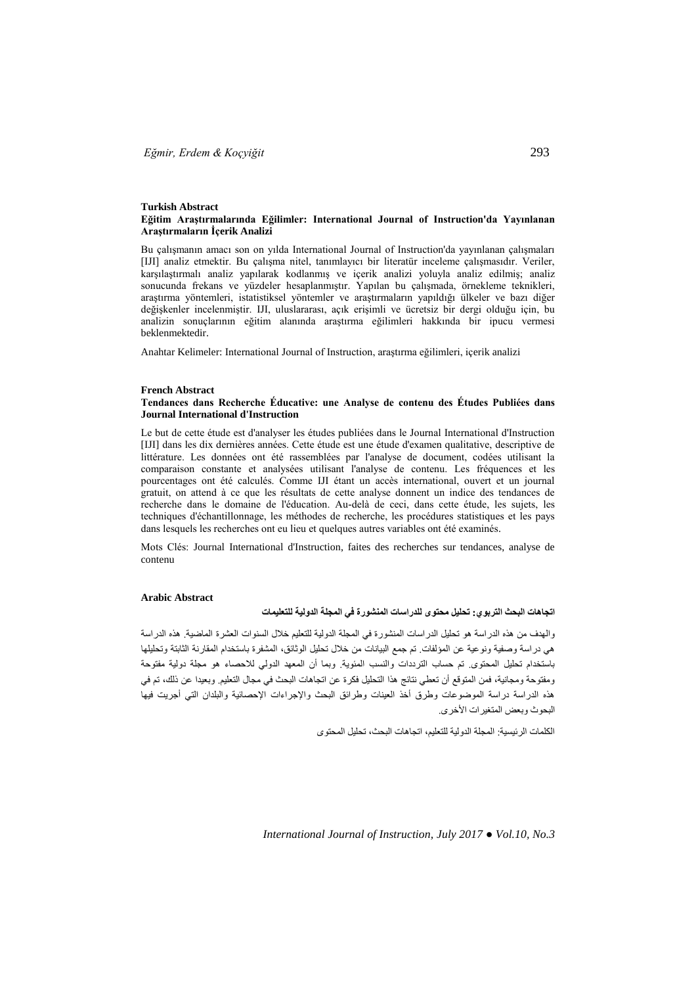#### **Turkish Abstract Eğitim Araştırmalarında Eğilimler: International Journal of Instruction'da Yayınlanan Araştırmaların İçerik Analizi**

Bu çalışmanın amacı son on yılda International Journal of Instruction'da yayınlanan çalışmaları [IJI] analiz etmektir. Bu çalışma nitel, tanımlayıcı bir literatür inceleme çalışmasıdır. Veriler, karşılaştırmalı analiz yapılarak kodlanmış ve içerik analizi yoluyla analiz edilmiş; analiz sonucunda frekans ve yüzdeler hesaplanmıştır. Yapılan bu çalışmada, örnekleme teknikleri, araştırma yöntemleri, istatistiksel yöntemler ve araştırmaların yapıldığı ülkeler ve bazı diğer değişkenler incelenmiştir. IJI, uluslararası, açık erişimli ve ücretsiz bir dergi olduğu için, bu analizin sonuçlarının eğitim alanında araştırma eğilimleri hakkında bir ipucu vermesi beklenmektedir.

Anahtar Kelimeler: International Journal of Instruction, araştırma eğilimleri, içerik analizi

#### **French Abstract**

#### **Tendances dans Recherche Éducative: une Analyse de contenu des Études Publiées dans Journal International d'Instruction**

Le but de cette étude est d'analyser les études publiées dans le Journal International d'Instruction [IJI] dans les dix dernières années. Cette étude est une étude d'examen qualitative, descriptive de littérature. Les données ont été rassemblées par l'analyse de document, codées utilisant la comparaison constante et analysées utilisant l'analyse de contenu. Les fréquences et les pourcentages ont été calculés. Comme IJI étant un accès international, ouvert et un journal gratuit, on attend à ce que les résultats de cette analyse donnent un indice des tendances de recherche dans le domaine de l'éducation. Au-delà de ceci, dans cette étude, les sujets, les techniques d'échantillonnage, les méthodes de recherche, les procédures statistiques et les pays dans lesquels les recherches ont eu lieu et quelques autres variables ont été examinés.

Mots Clés: Journal International d'Instruction, faites des recherches sur tendances, analyse de contenu

### **Arabic Abstract**

### **اتجاهات البحث التربوي: تحليل محتوى للدراسات المنشورة في المجلة الدولية للتعليمات**

والهدف من هذه الدراسة هو تحليل الدراسات المنشورة في المجلة الدولية للتعليم خالل السنوات العشرة الماضية. هذه الدراسة هي دراسة وصفية ونوعية عن المؤلفات. تم جمع البيانات من خالل تحليل الوثائق، المشفرة باستخدام المقارنة الثابتة وتحليلها باستخدام تحليل المحتوى. تم حساب الترددات والنسب المئوية. وبما أن المعهد الدولي لالحصاء هو مجلة دولية مفتوحة ومفتوحة ومجانية، فمن المتوقع أن تعطي نتائج هذا التحليل فكرة عن اتجاهات البحث في مجال التعليم. وبعيدا عن ذلك، تم في هذه الدراسة دراسة الموضوعات وطرق أخذ العينات وطرائق البحث واإلجراءات اإلحصائية والبلدان التي أجريت فيها البحوث وبعض المتغيرات األخرى.

الكلمات الرئيسية: المجلة الدولية للتعليم، اتجاهات البحث، تحليل المحتوى